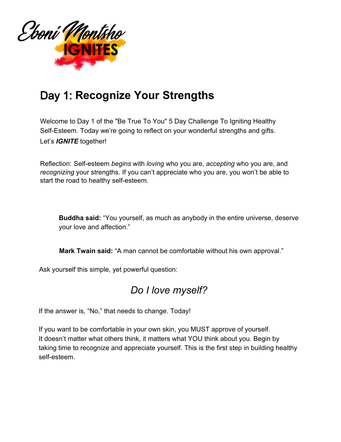

## Day 1: **Recognize Your Strengths**

Welcome to Day 1 of the "Be True To You" 5 Day Challenge To Igniting Healthy Self-Esteem. Today we're going to reflect on your wonderful strengths and gifts. Let's *IGNITE* together!

Reflection: Self-esteem *begins* with *loving* who you are, *accepting* who you are, and *recognizing* your strengths. If you can't appreciate who you are, you won't be able to start the road to healthy self-esteem.

**Buddha said:** "You yourself, as much as anybody in the entire universe, deserve your love and affection."

**Mark Twain said:** "A man cannot be comfortable without his own approval."

Ask yourself this simple, yet powerful question:

## *Do I love myself?*

If the answer is, "No," that needs to change. Today!

If you want to be comfortable in your own skin, you MUST approve of yourself. It doesn't matter what others think, it matters what YOU think about you. Begin by taking time to recognize and appreciate yourself. This is the first step in building healthy self-esteem.